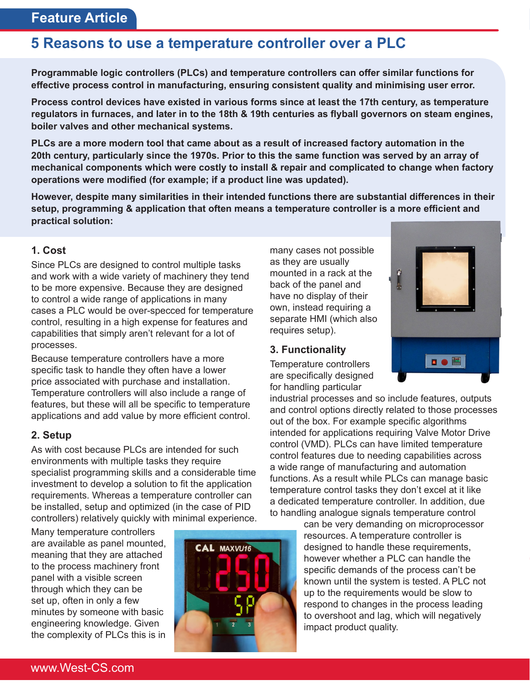# **5 Reasons to use a temperature controller over a PLC**

**Programmable logic controllers (PLCs) and temperature controllers can offer similar functions for effective process control in manufacturing, ensuring consistent quality and minimising user error.**

**Process control devices have existed in various forms since at least the 17th century, as temperature regulators in furnaces, and later in to the 18th & 19th centuries as flyball governors on steam engines, boiler valves and other mechanical systems.**

**PLCs are a more modern tool that came about as a result of increased factory automation in the 20th century, particularly since the 1970s. Prior to this the same function was served by an array of mechanical components which were costly to install & repair and complicated to change when factory operations were modified (for example; if a product line was updated).**

**However, despite many similarities in their intended functions there are substantial differences in their setup, programming & application that often means a temperature controller is a more efficient and practical solution:** 

### **1. Cost**

Since PLCs are designed to control multiple tasks and work with a wide variety of machinery they tend to be more expensive. Because they are designed to control a wide range of applications in many cases a PLC would be over-specced for temperature control, resulting in a high expense for features and capabilities that simply aren't relevant for a lot of processes.

Because temperature controllers have a more specific task to handle they often have a lower price associated with purchase and installation. Temperature controllers will also include a range of features, but these will all be specific to temperature applications and add value by more efficient control.

#### **2. Setup**

As with cost because PLCs are intended for such environments with multiple tasks they require specialist programming skills and a considerable time investment to develop a solution to fit the application requirements. Whereas a temperature controller can be installed, setup and optimized (in the case of PID controllers) relatively quickly with minimal experience.

Many temperature controllers are available as panel mounted, meaning that they are attached to the process machinery front panel with a visible screen through which they can be set up, often in only a few minutes by someone with basic engineering knowledge. Given the complexity of PLCs this is in



many cases not possible as they are usually mounted in a rack at the back of the panel and have no display of their own, instead requiring a separate HMI (which also requires setup).

#### **3. Functionality**

Temperature controllers are specifically designed for handling particular

industrial processes and so include features, outputs and control options directly related to those processes out of the box. For example specific algorithms intended for applications requiring Valve Motor Drive control (VMD). PLCs can have limited temperature control features due to needing capabilities across a wide range of manufacturing and automation functions. As a result while PLCs can manage basic temperature control tasks they don't excel at it like a dedicated temperature controller. In addition, due to handling analogue signals temperature control

can be very demanding on microprocessor resources. A temperature controller is designed to handle these requirements, however whether a PLC can handle the specific demands of the process can't be known until the system is tested. A PLC not up to the requirements would be slow to respond to changes in the process leading to overshoot and lag, which will negatively impact product quality.



www.West-CS.com